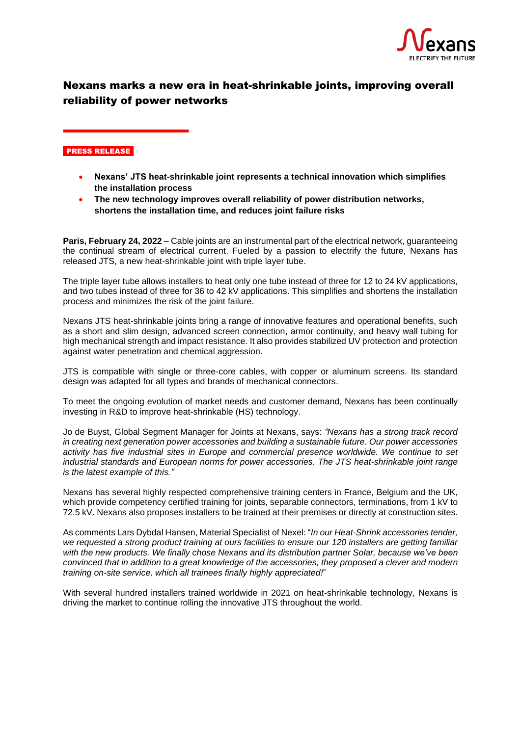

## Nexans marks a new era in heat-shrinkable joints, improving overall reliability of power networks

## PRESS RELEASE

- **Nexans' JTS heat-shrinkable joint represents a technical innovation which simplifies the installation process**
- **The new technology improves overall reliability of power distribution networks, shortens the installation time, and reduces joint failure risks**

**Paris, February 24, 2022** – Cable joints are an instrumental part of the electrical network, guaranteeing the continual stream of electrical current. Fueled by a passion to electrify the future, Nexans has released JTS, a new heat-shrinkable joint with triple layer tube.

The triple layer tube allows installers to heat only one tube instead of three for 12 to 24 kV applications, and two tubes instead of three for 36 to 42 kV applications. This simplifies and shortens the installation process and minimizes the risk of the joint failure.

Nexans JTS heat-shrinkable joints bring a range of innovative features and operational benefits, such as a short and slim design, advanced screen connection, armor continuity, and heavy wall tubing for high mechanical strength and impact resistance. It also provides stabilized UV protection and protection against water penetration and chemical aggression.

JTS is compatible with single or three-core cables, with copper or aluminum screens. Its standard design was adapted for all types and brands of mechanical connectors.

To meet the ongoing evolution of market needs and customer demand, Nexans has been continually investing in R&D to improve heat-shrinkable (HS) technology.

Jo de Buyst, Global Segment Manager for Joints at Nexans, says: *"Nexans has a strong track record in creating next generation power accessories and building a sustainable future. Our power accessories activity has five industrial sites in Europe and commercial presence worldwide. We continue to set industrial standards and European norms for power accessories. The JTS heat-shrinkable joint range is the latest example of this."*

Nexans has several highly respected comprehensive training centers in France, Belgium and the UK, which provide competency certified training for joints, separable connectors, terminations, from 1 kV to 72.5 kV. Nexans also proposes installers to be trained at their premises or directly at construction sites.

As comments Lars Dybdal Hansen, Material Specialist of Nexel: "*In our Heat-Shrink accessories tender, we requested a strong product training at ours facilities to ensure our 120 installers are getting familiar with the new products. We finally chose Nexans and its distribution partner Solar, because we've been convinced that in addition to a great knowledge of the accessories, they proposed a clever and modern training on-site service, which all trainees finally highly appreciated!*"

With several hundred installers trained worldwide in 2021 on heat-shrinkable technology, Nexans is driving the market to continue rolling the innovative JTS throughout the world.